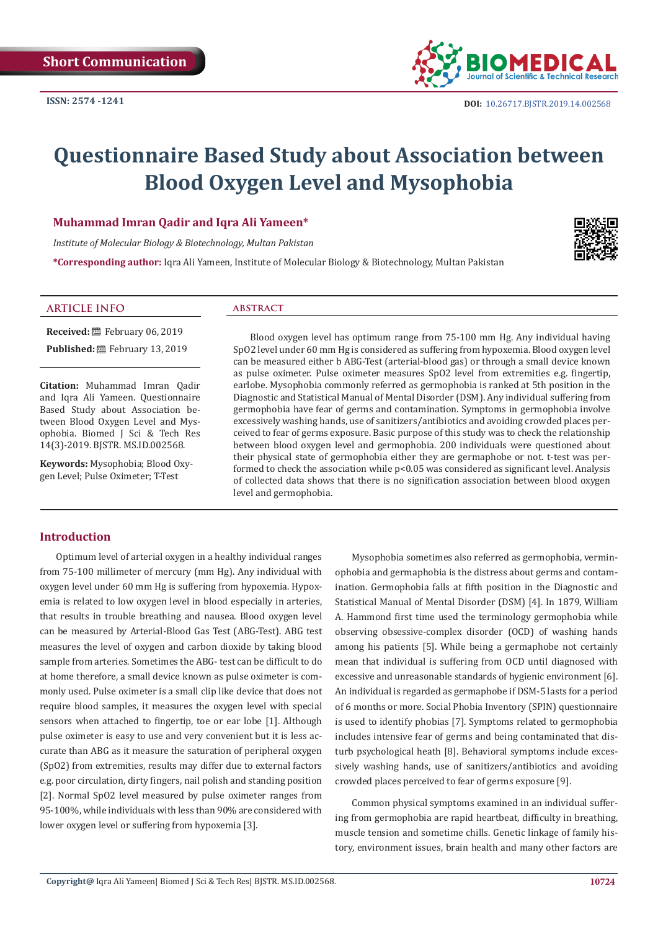

# **Questionnaire Based Study about Association between Blood Oxygen Level and Mysophobia**

#### **Muhammad Imran Qadir and Iqra Ali Yameen\***

*Institute of Molecular Biology & Biotechnology, Multan Pakistan*

**\*Corresponding author:** Iqra Ali Yameen, Institute of Molecular Biology & Biotechnology, Multan Pakistan



#### **ARTICLE INFO abstract**

**Received:** February 06, 2019 **Published:** 巴 February 13, 2019

**Citation:** Muhammad Imran Qadir and Iqra Ali Yameen. Questionnaire Based Study about Association between Blood Oxygen Level and Mysophobia. Biomed J Sci & Tech Res 14(3)-2019. BJSTR. MS.ID.002568.

**Keywords:** Mysophobia; Blood Oxygen Level; Pulse Oximeter; T-Test

Blood oxygen level has optimum range from 75-100 mm Hg. Any individual having SpO2 level under 60 mm Hg is considered as suffering from hypoxemia. Blood oxygen level can be measured either b ABG-Test (arterial-blood gas) or through a small device known as pulse oximeter. Pulse oximeter measures SpO2 level from extremities e.g. fingertip, earlobe. Mysophobia commonly referred as germophobia is ranked at 5th position in the Diagnostic and Statistical Manual of Mental Disorder (DSM). Any individual suffering from germophobia have fear of germs and contamination. Symptoms in germophobia involve excessively washing hands, use of sanitizers/antibiotics and avoiding crowded places perceived to fear of germs exposure. Basic purpose of this study was to check the relationship between blood oxygen level and germophobia. 200 individuals were questioned about their physical state of germophobia either they are germaphobe or not. t-test was performed to check the association while p<0.05 was considered as significant level. Analysis of collected data shows that there is no signification association between blood oxygen level and germophobia.

## **Introduction**

Optimum level of arterial oxygen in a healthy individual ranges from 75-100 millimeter of mercury (mm Hg). Any individual with oxygen level under 60 mm Hg is suffering from hypoxemia. Hypoxemia is related to low oxygen level in blood especially in arteries, that results in trouble breathing and nausea. Blood oxygen level can be measured by Arterial-Blood Gas Test (ABG-Test). ABG test measures the level of oxygen and carbon dioxide by taking blood sample from arteries. Sometimes the ABG- test can be difficult to do at home therefore, a small device known as pulse oximeter is commonly used. Pulse oximeter is a small clip like device that does not require blood samples, it measures the oxygen level with special sensors when attached to fingertip, toe or ear lobe [1]. Although pulse oximeter is easy to use and very convenient but it is less accurate than ABG as it measure the saturation of peripheral oxygen (SpO2) from extremities, results may differ due to external factors e.g. poor circulation, dirty fingers, nail polish and standing position [2]. Normal SpO2 level measured by pulse oximeter ranges from 95-100%, while individuals with less than 90% are considered with lower oxygen level or suffering from hypoxemia [3].

Mysophobia sometimes also referred as germophobia, verminophobia and germaphobia is the distress about germs and contamination. Germophobia falls at fifth position in the Diagnostic and Statistical Manual of Mental Disorder (DSM) [4]. In 1879, William A. Hammond first time used the terminology germophobia while observing obsessive-complex disorder (OCD) of washing hands among his patients [5]. While being a germaphobe not certainly mean that individual is suffering from OCD until diagnosed with excessive and unreasonable standards of hygienic environment [6]. An individual is regarded as germaphobe if DSM-5 lasts for a period of 6 months or more. Social Phobia Inventory (SPIN) questionnaire is used to identify phobias [7]. Symptoms related to germophobia includes intensive fear of germs and being contaminated that disturb psychological heath [8]. Behavioral symptoms include excessively washing hands, use of sanitizers/antibiotics and avoiding crowded places perceived to fear of germs exposure [9].

Common physical symptoms examined in an individual suffering from germophobia are rapid heartbeat, difficulty in breathing, muscle tension and sometime chills. Genetic linkage of family history, environment issues, brain health and many other factors are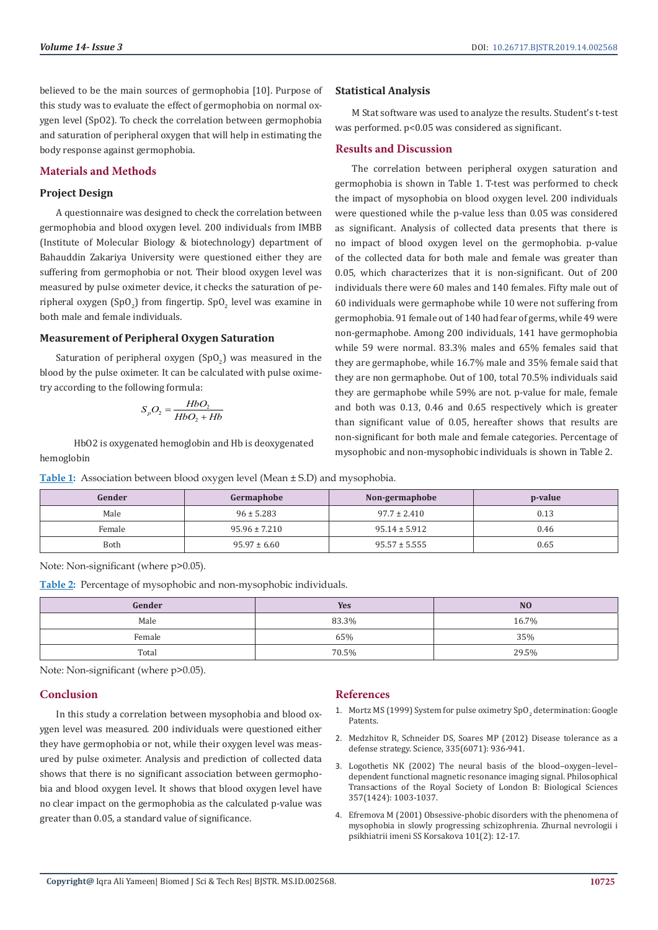M Stat software was used to analyze the results. Student's t-test

The correlation between peripheral oxygen saturation and germophobia is shown in Table 1. T-test was performed to check the impact of mysophobia on blood oxygen level. 200 individuals were questioned while the p-value less than 0.05 was considered as significant. Analysis of collected data presents that there is no impact of blood oxygen level on the germophobia. p-value of the collected data for both male and female was greater than 0.05, which characterizes that it is non-significant. Out of 200 individuals there were 60 males and 140 females. Fifty male out of 60 individuals were germaphobe while 10 were not suffering from germophobia. 91 female out of 140 had fear of germs, while 49 were non-germaphobe. Among 200 individuals, 141 have germophobia while 59 were normal. 83.3% males and 65% females said that they are germaphobe, while 16.7% male and 35% female said that they are non germaphobe. Out of 100, total 70.5% individuals said they are germaphobe while 59% are not. p-value for male, female and both was 0.13, 0.46 and 0.65 respectively which is greater than significant value of 0.05, hereafter shows that results are non-significant for both male and female categories. Percentage of mysophobic and non-mysophobic individuals is shown in Table 2.

was performed. p<0.05 was considered as significant.

believed to be the main sources of germophobia [10]. Purpose of this study was to evaluate the effect of germophobia on normal oxygen level (SpO2). To check the correlation between germophobia and saturation of peripheral oxygen that will help in estimating the body response against germophobia.

### **Materials and Methods**

#### **Project Design**

A questionnaire was designed to check the correlation between germophobia and blood oxygen level. 200 individuals from IMBB (Institute of Molecular Biology & biotechnology) department of Bahauddin Zakariya University were questioned either they are suffering from germophobia or not. Their blood oxygen level was measured by pulse oximeter device, it checks the saturation of peripheral oxygen (SpO<sub>2</sub>) from fingertip. SpO<sub>2</sub> level was examine in both male and female individuals.

#### **Measurement of Peripheral Oxygen Saturation**

Saturation of peripheral oxygen  $(SpO<sub>2</sub>)$  was measured in the blood by the pulse oximeter. It can be calculated with pulse oximetry according to the following formula:

$$
S_pO_2 = \frac{HbO_2}{HbO_2 + Hb}
$$

 HbO2 is oxygenated hemoglobin and Hb is deoxygenated hemoglobin

#### **Table 1:** Association between blood oxygen level (Mean ± S.D) and mysophobia.

| Gender | Germaphobe        | Non-germaphobe    | p-value |
|--------|-------------------|-------------------|---------|
| Male   | $96 \pm 5.283$    | $97.7 \pm 2.410$  | 0.13    |
| Female | $95.96 \pm 7.210$ | $95.14 \pm 5.912$ | 0.46    |
| Both   | $95.97 \pm 6.60$  | $95.57 \pm 5.555$ | 0.65    |

**Statistical Analysis**

**Results and Discussion** 

Note: Non-significant (where p>0.05).

**Table 2:** Percentage of mysophobic and non-mysophobic individuals.

| Gender | <b>Yes</b> | N <sub>O</sub> |
|--------|------------|----------------|
| Male   | 83.3%      | 16.7%          |
| Female | 65%        | 35%            |
| Total  | 70.5%      | 29.5%          |

Note: Non-significant (where p>0.05).

#### **Conclusion**

In this study a correlation between mysophobia and blood oxygen level was measured. 200 individuals were questioned either they have germophobia or not, while their oxygen level was measured by pulse oximeter. Analysis and prediction of collected data shows that there is no significant association between germophobia and blood oxygen level. It shows that blood oxygen level have no clear impact on the germophobia as the calculated p-value was greater than 0.05, a standard value of significance.

#### **References**

- 1. Mortz MS (1999) System for pulse oximetry  $SpO<sub>2</sub>$  determination: Google Patents.
- 2. [Medzhitov R, Schneider DS, Soares MP \(2012\) Disease tolerance as a](https://www.ncbi.nlm.nih.gov/pmc/articles/PMC3564547/) [defense strategy. Science, 335\(6071\): 936-941.](https://www.ncbi.nlm.nih.gov/pmc/articles/PMC3564547/)
- 3. [Logothetis NK \(2002\) The neural basis of the blood–oxygen–level–](https://www.ncbi.nlm.nih.gov/pmc/articles/PMC1693017/) [dependent functional magnetic resonance imaging signal. Philosophical](https://www.ncbi.nlm.nih.gov/pmc/articles/PMC1693017/) [Transactions of the Royal Society of London B: Biological Sciences](https://www.ncbi.nlm.nih.gov/pmc/articles/PMC1693017/) [357\(1424\): 1003-1037.](https://www.ncbi.nlm.nih.gov/pmc/articles/PMC1693017/)
- 4. [Efremova M \(2001\) Obsessive-phobic disorders with the phenomena of](https://www.ncbi.nlm.nih.gov/pubmed/11915702) [mysophobia in slowly progressing schizophrenia. Zhurnal nevrologii i](https://www.ncbi.nlm.nih.gov/pubmed/11915702) [psikhiatrii imeni SS Korsakova 101\(2\): 12-17.](https://www.ncbi.nlm.nih.gov/pubmed/11915702)